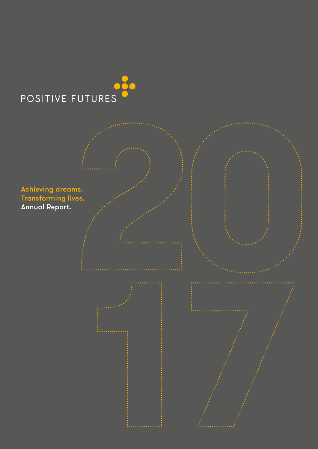

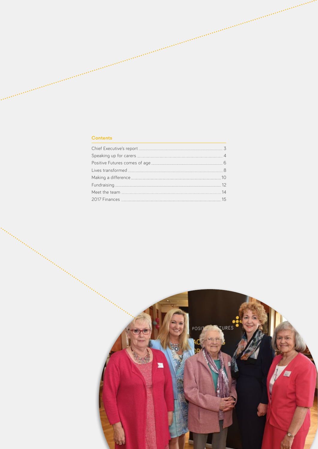#### **Contents**

| Chief Executive's report                                                                                                                                                                                                             |    |
|--------------------------------------------------------------------------------------------------------------------------------------------------------------------------------------------------------------------------------------|----|
|                                                                                                                                                                                                                                      |    |
| Positive Futures comes of age <b>[47]</b> The Section Assembly of Section Assembly of Section Assembly of Section Assembly of Section Assembly of Section Assembly of Section Assembly of Section Assembly of Section Assembly of S  |    |
|                                                                                                                                                                                                                                      |    |
| Making a difference <b>with a set of the contract of the contract of the contract of the contract of the contract of the contract of the contract of the contract of the contract of the contract of the contract of the contrac</b> |    |
|                                                                                                                                                                                                                                      |    |
|                                                                                                                                                                                                                                      |    |
|                                                                                                                                                                                                                                      | 15 |

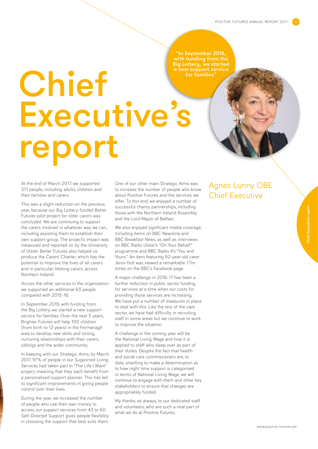# Chief Executive's report

i de la propincia de la construcción de la construcción de la construcción de la construcción de la construcción de la construcción de la construcción de la construcción de la construcción de la construcción de la construc

"In September 2016, with funding from the Big Lottery, we started a new support service for families

At the end of March 2017, we supported 371 people, including adults, children and their families and carers.

This was a slight reduction on the previous year, because our Big Lottery-funded Better Futures pilot project for older carers was concluded. We are continuing to support the carers involved in whatever way we can, including assisting them to establish their own support group. The project's impact was measured and reported on by the University of Ulster. Better Futures also helped us produce the Carers' Charter, which has the potential to improve the lives of all carers and in particular, lifelong carers, across Northern Ireland.

Across the other services in the organisation we supported an additional 63 people compared with 2015-16.

In September 2016, with funding from the Big Lottery, we started a new support service for families. Over the next 5 years, Brighter Futures will help 100 children (from birth to 12 years) in the Fermanagh area to develop new skills and strong, nurturing relationships with their carers, siblings and the wider community.

In keeping with our Strategic Aims, by March 2017, 97% of people in our Supported Living Services had taken part in "The Life I Want" project, meaning that they each benefit from a personalised support planner. This has led to significant improvements in giving people control over their lives.

During the year, we increased the number of people who use their own money to access our support services from 43 to 60. Self-Directed Support gives people flexibility in choosing the support that best suits them. One of our other main Strategic Aims was to increase the number of people who know about Positive Futures and the services we offer. To this end, we enjoyed a number of successful charity partnerships, including those with the Northern Ireland Assembly and the Lord Mayor of Belfast.

We also enjoyed significant media coverage, including items on BBC Newsline and BBC Breakfast News, as well as interviews on BBC Radio Ulster's "On Your Behalf" programme and BBC Radio 4's "You and Yours." An item featuring 92-year-old carer Jenni Hull was viewed a remarkable 1.7m times on the BBC's Facebook page.

A major challenge in 2016-17 has been a further reduction in public sector funding for services at a time when our costs for providing those services are increasing. We have put a number of measures in place to deal with this. Like the rest of the care sector, we have had difficulty in recruiting staff in some areas but we continue to work to improve the situation.

A challenge in the coming year will be the National Living Wage and how it is applied to staff who sleep over as part of their duties. Despite the fact that health and social care commissioners are, to date, unwilling to make a determination as to how night time support is categorised in terms of National Living Wage, we will continue to engage with them and other key stakeholders to ensure that changes are appropriately funded.

My thanks, as always, to our dedicated staff and volunteers, who are such a vital part of what we do at Positive Futures.

#### Agnes Lunny OBE Chief Executive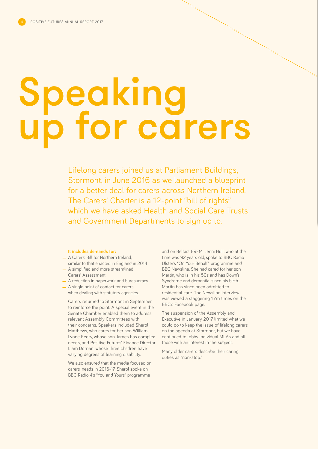# Speaking up for carers

Lifelong carers joined us at Parliament Buildings, Stormont, in June 2016 as we launched a blueprint for a better deal for carers across Northern Ireland. The Carers' Charter is a 12-point "bill of rights" which we have asked Health and Social Care Trusts and Government Departments to sign up to.

#### **It includes demands for:**

- A Carers' Bill for Northern Ireland,  similar to that enacted in England in 2014
- A simplified and more streamlined **—** Carers' Assessment
- A reduction in paperwork and bureaucracy **—**
- A single point of contact for carers  when dealing with statutory agencies.

Carers returned to Stormont in September to reinforce the point. A special event in the Senate Chamber enabled them to address relevant Assembly Committees with their concerns. Speakers included Sherol Matthews, who cares for her son William, Lynne Keery, whose son James has complex needs, and Positive Futures' Finance Director Liam Dorrian, whose three children have varying degrees of learning disability.

We also ensured that the media focused on carers' needs in 2016-17. Sherol spoke on BBC Radio 4's "You and Yours" programme

and on Belfast 89FM. Jenni Hull, who at the time was 92 years old, spoke to BBC Radio Ulster's "On Your Behalf" programme and BBC Newsline. She had cared for her son Martin, who is in his 50s and has Down's Syndrome and dementia, since his birth. Martin has since been admitted to residential care. The Newsline interview was viewed a staggering 1.7m times on the BBC's Facebook page.

in parameter of the contract of the contract of the contract of the contract of the contract of the contract of

The suspension of the Assembly and Executive in January 2017 limited what we could do to keep the issue of lifelong carers on the agenda at Stormont, but we have continued to lobby individual MLAs and all those with an interest in the subject.

Many older carers describe their caring duties as "non-stop."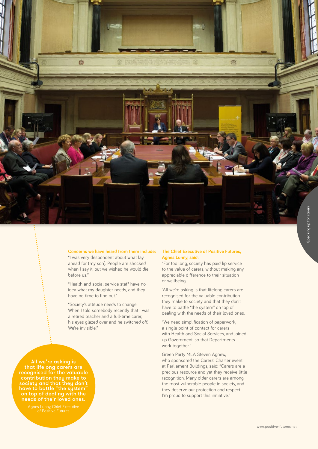

#### **Concerns we have heard from them include:**

"I was very despondent about what lay ahead for (my son). People are shocked when I say it, but we wished he would die before us."

"Health and social service staff have no idea what my daughter needs, and they have no time to find out."

"Society's attitude needs to change. When I told somebody recently that I was a retired teacher and a full-time carer, his eyes glazed over and he switched off. We're invisible."

All we're asking is that lifelong carers are recognised for the valuable contribution they make to society and that they don't have to battle "the system" on top of dealing with the needs of their loved ones.

#### **The Chief Executive of Positive Futures, Agnes Lunny, said:**

"For too long, society has paid lip service to the value of carers, without making any appreciable difference to their situation or wellbeing.

"All we're asking is that lifelong carers are recognised for the valuable contribution they make to society and that they don't have to battle "the system" on top of dealing with the needs of their loved ones.

"We need simplification of paperwork, a single point of contact for carers with Health and Social Services, and joinedup Government, so that Departments work together."

Green Party MLA Steven Agnew, who sponsored the Carers' Charter event at Parliament Buildings, said: "Carers are a precious resource and yet they receive little recognition. Many older carers are among the most vulnerable people in society, and they deserve our protection and respect. I'm proud to support this initiative."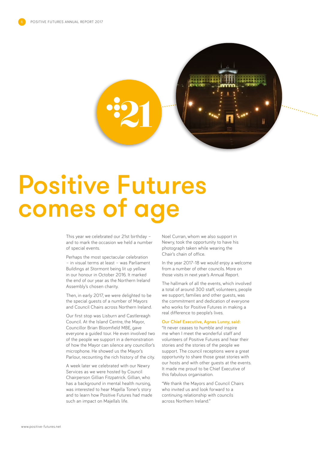

## Positive Futures comes of age

This year we celebrated our 21st birthday – and to mark the occasion we held a number of special events.

Perhaps the most spectacular celebration – in visual terms at least – was Parliament Buildings at Stormont being lit up yellow in our honour in October 2016. It marked the end of our year as the Northern Ireland Assembly's chosen charity.

Then, in early 2017, we were delighted to be the special guests of a number of Mayors and Council Chairs across Northern Ireland.

Our first stop was Lisburn and Castlereagh Council. At the Island Centre, the Mayor, Councillor Brian Bloomfield MBE, gave everyone a guided tour. He even involved two of the people we support in a demonstration of how the Mayor can silence any councillor's microphone. He showed us the Mayor's Parlour, recounting the rich history of the city.

A week later we celebrated with our Newry Services as we were hosted by Council Chairperson Gillian Fitzpatrick. Gillian, who has a background in mental health nursing, was interested to hear Majella Toner's story and to learn how Positive Futures had made such an impact on Majella's life.

Noel Curran, whom we also support in Newry, took the opportunity to have his photograph taken while wearing the Chair's chain of office.

In the year 2017-18 we would enjoy a welcome from a number of other councils. More on those visits in next year's Annual Report.

The hallmark of all the events, which involved a total of around 300 staff, volunteers, people we support, families and other guests, was the commitment and dedication of everyone who works for Positive Futures in making a real difference to people's lives.

#### **Our Chief Executive, Agnes Lunny, said:**

"It never ceases to humble and inspire me when I meet the wonderful staff and volunteers of Positive Futures and hear their stories and the stories of the people we support. The council receptions were a great opportunity to share those great stories with our hosts and with other guests at the events. It made me proud to be Chief Executive of this fabulous organisation.

"We thank the Mayors and Council Chairs who invited us and look forward to a continuing relationship with councils across Northern Ireland."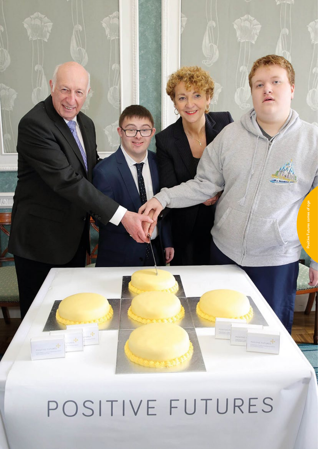# POSITIVE FUTURES ANNUAL REPORT 2016–17 7 Positive Futures comes of age

## POSITIVE FUTURES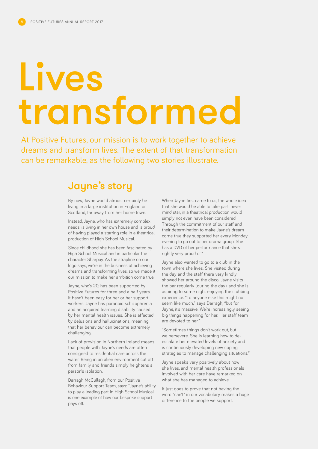# Lives transformed

At Positive Futures, our mission is to work together to achieve dreams and transform lives. The extent of that transformation can be remarkable, as the following two stories illustrate.

#### Jayne's story

By now, Jayne would almost certainly be living in a large institution in England or Scotland, far away from her home town.

Instead, Jayne, who has extremely complex needs, is living in her own house and is proud of having played a starring role in a theatrical production of High School Musical.

Since childhood she has been fascinated by High School Musical and in particular the character Sharpay. As the strapline on our logo says, we're in the business of achieving dreams and transforming lives, so we made it our mission to make her ambition come true.

Jayne, who's 20, has been supported by Positive Futures for three and a half years. It hasn't been easy for her or her support workers. Jayne has paranoid schizophrenia and an acquired learning disability caused by her mental health issues. She is affected by delusions and hallucinations, meaning that her behaviour can become extremely challenging.

Lack of provision in Northern Ireland means that people with Jayne's needs are often consigned to residential care across the water. Being in an alien environment cut off from family and friends simply heightens a person's isolation.

Darragh McCullagh, from our Positive Behaviour Support Team, says: "Jayne's ability to play a leading part in High School Musical is one example of how our bespoke support pays off.

When Jayne first came to us, the whole idea that she would be able to take part, never mind star, in a theatrical production would simply not even have been considered. Through the commitment of our staff and their determination to make Jayne's dream come true they supported her every Monday evening to go out to her drama group. She has a DVD of her performance that she's rightly very proud of."

Jayne also wanted to go to a club in the town where she lives. She visited during the day and the staff there very kindly showed her around the disco. Jayne visits the bar regularly (during the day), and she is aspiring to some night enjoying the clubbing experience. "To anyone else this might not seem like much," says Darragh, "but for Jayne, it's massive. We're increasingly seeing big things happening for her. Her staff team are devoted to her."

"Sometimes things don't work out, but we persevere. She is learning how to deescalate her elevated levels of anxiety and is continuously developing new coping strategies to manage challenging situations."

Jayne speaks very positively about how she lives, and mental health professionals involved with her care have remarked on what she has managed to achieve.

It just goes to prove that not having the word "can't" in our vocabulary makes a huge difference to the people we support.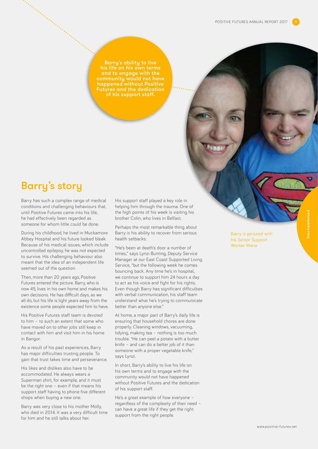Barry's ability to live his life on his own terms and to engage with the community would not have happened without Positive Futures and the dedication of his support staff.

#### Barry's story

a Kabupatèn Kabupatèn Kabupatèn Kabupatèn Kabupatèn Kabupatèn Kabupatèn Kabupatèn Kabupatèn Kabupatèn Kabupatèn

Barry has such a complex range of medical conditions and challenging behaviours that, until Positive Futures came into his life, he had effectively been regarded as someone for whom little could be done.

During his childhood, he lived in Muckamore Abbey Hospital and his future looked bleak. Because of his medical issues, which include uncontrolled epilepsy, he was not expected to survive. His challenging behaviour also meant that the idea of an independent life seemed out of the question.

Then, more than 20 years ago, Positive Futures entered the picture. Barry, who is now 45, lives in his own home and makes his own decisions. He has difficult days, as we all do, but his life is light years away from the existence some people expected him to have.

His Positive Futures staff team is devoted to him – to such an extent that some who have moved on to other jobs still keep in contact with him and visit him in his home in Bangor.

As a result of his past experiences, Barry has major difficulties trusting people. To gain that trust takes time and perseverance.

His likes and dislikes also have to be accommodated. He always wears a Superman shirt, for example, and it must be the right one – even if that means his support staff having to phone five different shops when buying a new one.

Barry was very close to his mother Molly, who died in 2014. It was a very difficult time for him and he still talks about her.

His support staff played a key role in helping him through the trauma. One of the high points of his week is visiting his brother Colin, who lives in Belfast.

Perhaps the most remarkable thing about Barry is his ability to recover from serious health setbacks.

"He's been at death's door a number of times," says Lynzi Bunting, Deputy Service Manager at our East Coast Supported Living Service, "but the following week he comes bouncing back. Any time he's in hospital, we continue to support him 24 hours a day to act as his voice and fight for his rights. Even though Barry has significant difficulties with verbal communication, his staff team understand what he's trying to communicate better than anyone else."

At home, a major part of Barry's daily life is ensuring that household chores are done properly. Cleaning windows, vacuuming, tidying, making tea – nothing is too much trouble. "He can peel a potato with a butter knife – and can do a better job of it than someone with a proper vegetable knife," says Lynzi.

In short, Barry's ability to live his life on his own terms and to engage with the community would not have happened without Positive Futures and the dedication of his support staff.

He's a great example of how everyone – regardless of the complexity of their need – can have a great life if they get the right support from the right people.

Barry is pictured with his Senior Support Worker Maria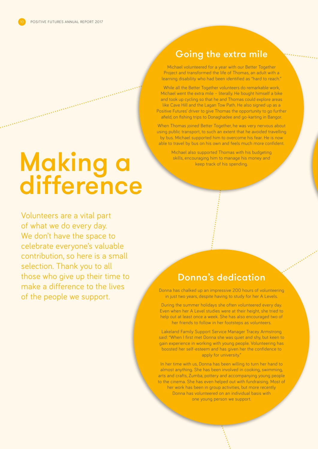## Making a difference

Volunteers are a vital part of what we do every day. We don't have the space to celebrate everyone's valuable contribution, so here is a small selection. Thank you to all those who give up their time to make a difference to the lives of the people we support.

#### Going the extra mile

Michael volunteered for a year with our Better Together Project and transformed the life of Thomas, an adult with a learning disability who had been identified as "hard to reach."

While all the Better Together volunteers do remarkable work, Michael went the extra mile – literally. He bought himself a bike and took up cycling so that he and Thomas could explore areas like Cave Hill and the Lagan Tow Path. He also signed up as a Positive Futures' driver to give Thomas the opportunity to go further afield, on fishing trips to Donaghadee and go-karting in Bangor.

When Thomas joined Better Together, he was very nervous about using public transport, to such an extent that he avoided travelling by bus. Michael supported him to overcome his fear. He is now able to travel by bus on his own and feels much more confident.

> Michael also supported Thomas with his budgeting skills, encouraging him to manage his money and keep track of his spending.

#### Donna's dedication

Donna has chalked up an impressive 200 hours of volunteering in just two years, despite having to study for her A Levels.

During the summer holidays she often volunteered every day. Even when her A Level studies were at their height, she tried to help out at least once a week. She has also encouraged two of her friends to follow in her footsteps as volunteers.

Lakeland Family Support Service Manager Tracey Armstrong said: "When I first met Donna she was quiet and shy, but keen to gain experience in working with young people. Volunteering has boosted her self-esteem and has given her the confidence to apply for university."

In her time with us, Donna has been willing to turn her hand to almost anything. She has been involved in cooking, swimming, arts and crafts, Zumba, pottery and accompanying young people to the cinema. She has even helped out with fundraising. Most of her work has been in group activities, but more recently Donna has volunteered on an individual basis with one young person we support.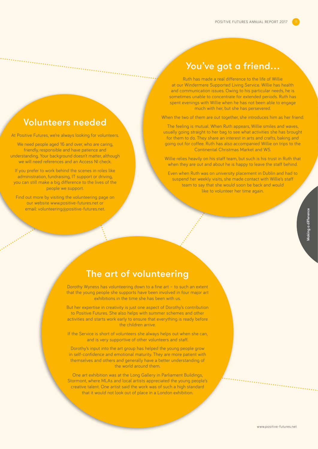#### Volunteers needed

At Positive Futures, we're always looking for volunteers.

We need people aged 16 and over, who are caring, friendly, responsible and have patience and understanding. Your background doesn't matter, although we will need references and an Access NI check.

If you prefer to work behind the scenes in roles like administration, fundraising, IT support or driving, you can still make a big difference to the lives of the people we support.

Find out more by visiting the volunteering page on our website www.positive-futures.net or email: volunteering@positive-futures.net.

#### You've got a friend…

Ruth has made a real difference to the life of Willie at our Windermere Supported Living Service. Willie has health and communication issues. Owing to his particular needs, he is sometimes unable to concentrate for extended periods. Ruth has spent evenings with Willie when he has not been able to engage much with her, but she has persevered.

When the two of them are out together, she introduces him as her friend.

The feeling is mutual. When Ruth appears, Willie smiles and waves, usually going straight to her bag to see what activities she has brought for them to do. They share an interest in arts and crafts, baking and going out for coffee. Ruth has also accompanied Willie on trips to the Continental Christmas Market and W5.

Willie relies heavily on his staff team, but such is his trust in Ruth that when they are out and about he is happy to leave the staff behind.

Even when Ruth was on university placement in Dublin and had to suspend her weekly visits, she made contact with Willie's staff team to say that she would soon be back and would like to volunteer her time again.

#### The art of volunteering

Dorothy Wyness has volunteering down to a fine art – to such an extent that the young people she supports have been involved in four major art exhibitions in the time she has been with us.

But her expertise in creativity is just one aspect of Dorothy's contribution to Positive Futures. She also helps with summer schemes and other activities and starts work early to ensure that everything is ready before the children arrive.

If the Service is short of volunteers she always helps out when she can, and is very supportive of other volunteers and staff.

Dorothy's input into the art group has helped the young people grow in self-confidence and emotional maturity. They are more patient with themselves and others and generally have a better understanding of the world around them.

One art exhibition was at the Long Gallery in Parliament Buildings, Stormont, where MLAs and local artists appreciated the young people's creative talent. One artist said the work was of such a high standard that it would not look out of place in a London exhibition.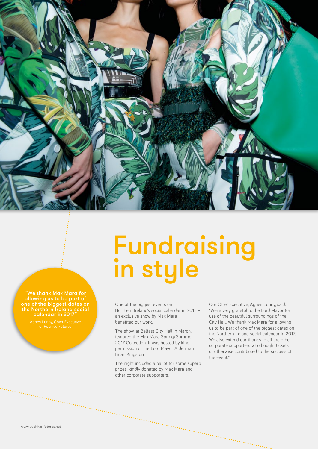

"We thank Max Mara for allowing us to be part of one of the biggest dates on the Northern Ireland social calendar in 2017

٠.,

## **Fundraising** in style

 $\cdots$ 

en en en en en de la companya de la companya de la companya de la companya de la companya de la companya de la

One of the biggest events on Northern Ireland's social calendar in 2017 – an exclusive show by Max Mara – benefited our work.

The show, at Belfast City Hall in March, featured the Max Mara Spring/Summer 2017 Collection. It was hosted by kind permission of the Lord Mayor Alderman Brian Kingston.

The night included a ballot for some superb prizes, kindly donated by Max Mara and other corporate supporters.

the company

Our Chief Executive, Agnes Lunny, said: "We're very grateful to the Lord Mayor for use of the beautiful surroundings of the City Hall. We thank Max Mara for allowing us to be part of one of the biggest dates on the Northern Ireland social calendar in 2017. We also extend our thanks to all the other corporate supporters who bought tickets or otherwise contributed to the success of the event."

www.positive-futures.net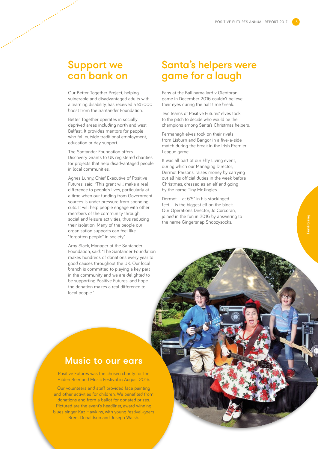#### Support we can bank on

Our Better Together Project, helping vulnerable and disadvantaged adults with a learning disability, has received a £5,000 boost from the Santander Foundation.

Better Together operates in socially deprived areas including north and west Belfast. It provides mentors for people who fall outside traditional employment, education or day support.

The Santander Foundation offers Discovery Grants to UK registered charities for projects that help disadvantaged people in local communities.

Agnes Lunny, Chief Executive of Positive Futures, said: "This grant will make a real difference to people's lives, particularly at a time when our funding from Government sources is under pressure from spending cuts. It will help people engage with other members of the community through social and leisure activities, thus reducing their isolation. Many of the people our organisation supports can feel like "forgotten people" in society."

Amy Slack, Manager at the Santander Foundation, said: "The Santander Foundation makes hundreds of donations every year to good causes throughout the UK. Our local branch is committed to playing a key part in the community and we are delighted to be supporting Positive Futures, and hope the donation makes a real difference to local people."

#### Santa's helpers were game for a laugh

Fans at the Ballinamallard v Glentoran game in December 2016 couldn't believe their eyes during the half time break.

Two teams of Positive Futures' elves took to the pitch to decide who would be the champions among Santa's Christmas helpers.

Fermanagh elves took on their rivals from Lisburn and Bangor in a five-a-side match during the break in the Irish Premier League game.

It was all part of our Elfy Living event, during which our Managing Director, Dermot Parsons, raises money by carrying out all his official duties in the week before Christmas, dressed as an elf and going by the name Tiny McJingles.

Dermot – at 6'5" in his stockinged feet – is the biggest elf on the block. Our Operations Director, Jo Corcoran, joined in the fun in 2016 by answering to the name Gingersnap Snoozysocks.



#### Music to our ears

Positive Futures was the chosen charity for the Hilden Beer and Music Festival in August 2016.

Our volunteers and staff provided face painting and other activities for children. We benefited from donations and from a ballot for donated prizes. Pictured are the event's headliner, award winning blues singer Kaz Hawkins, with young festival-goers Brent Donaldson and Joseph Walsh.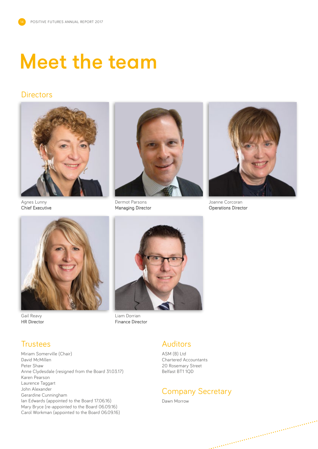### Meet the team

#### **Directors**



Agnes Lunny Chief Executive



Dermot Parsons Managing Director



Joanne Corcoran Operations Director



Gail Reavy HR Director



Liam Dorrian Finance Director

#### **Trustees**

Miriam Somerville (Chair) David McMillen Peter Shaw Anne Clydesdale (resigned from the Board 31.03.17) Karen Pearson Laurence Taggart John Alexander Gerardine Cunningham Ian Edwards (appointed to the Board 17.06.16) Mary Bryce (re-appointed to the Board 06.09.16) Carol Workman (appointed to the Board 06.09.16)



ASM (B) Ltd Chartered Accountants 20 Rosemary Street Belfast BT1 1QD

#### Company Secretary

Dawn Morrow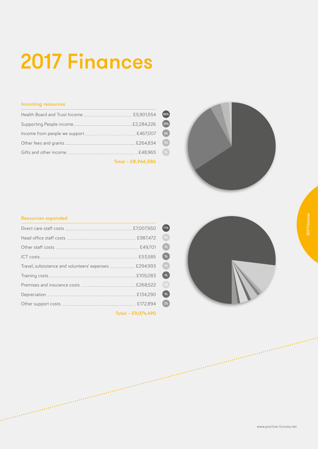## 2017 Finances

#### Incoming resources

| £48,965 |
|---------|
|         |

Total – £8,966,586

**77%**

**66% 25% 5%**

**1%**

**1%**

**1% 2%**

errette er en andere er en andere er en andere er en andere er en andere er en andere er en andere er en ander



#### Resources expended

|                                                                                                                                                                                                                                      | Total - £9.074.490 |
|--------------------------------------------------------------------------------------------------------------------------------------------------------------------------------------------------------------------------------------|--------------------|
| Other support costs <b>Manual Strategie Strategie Strategie Strategie Strategie Strategie Strategie Strategie Strategie Strategie Strategie Strategie Strategie Strategie Strategie Strategie Strategie Strategie Strategie Stra</b> |                    |
| Depreciation <b>E134,290</b>                                                                                                                                                                                                         |                    |
|                                                                                                                                                                                                                                      |                    |
|                                                                                                                                                                                                                                      |                    |
|                                                                                                                                                                                                                                      |                    |
|                                                                                                                                                                                                                                      |                    |
|                                                                                                                                                                                                                                      |                    |
|                                                                                                                                                                                                                                      |                    |
|                                                                                                                                                                                                                                      |                    |

errettiin toimus

. . . . . .



. . . . . .